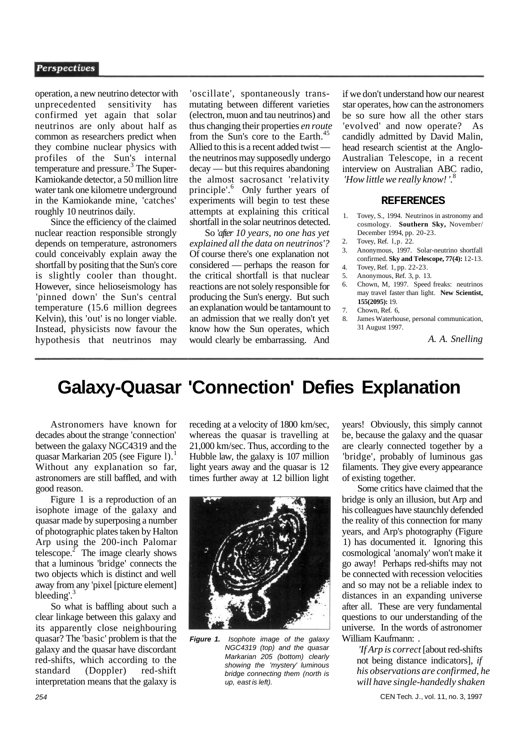### **Perspectives**

operation, a new neutrino detector with unprecedented sensitivity has confirmed yet again that solar neutrinos are only about half as common as researchers predict when they combine nuclear physics with profiles of the Sun's internal temperature and pressure.<sup>3</sup> The Super-Kamiokande detector, a 50 million litre water tank one kilometre underground in the Kamiokande mine, 'catches' roughly 10 neutrinos daily.

Since the efficiency of the claimed nuclear reaction responsible strongly depends on temperature, astronomers could conceivably explain away the shortfall by positing that the Sun's core is slightly cooler than thought. However, since helioseismology has 'pinned down' the Sun's central temperature (15.6 million degrees Kelvin), this 'out' is no longer viable. Instead, physicists now favour the hypothesis that neutrinos may

'oscillate', spontaneously transmutating between different varieties (electron, muon and tau neutrinos) and thus changing their properties *en route*  from the Sun's core to the Earth.<sup>4</sup> Allied to this is a recent added twist the neutrinos may supposedly undergo decay — but this requires abandoning the almost sacrosanct 'relativity principle'.<sup>6</sup> Only further years of experiments will begin to test these attempts at explaining this critical shortfall in the solar neutrinos detected.

So '*after 10 years, no one has yet explained all the data on neutrinos'?*  Of course there's one explanation not considered — perhaps the reason for the critical shortfall is that nuclear reactions are not solely responsible for producing the Sun's energy. But such an explanation would be tantamount to an admission that we really don't yet know how the Sun operates, which would clearly be embarrassing. And

if we don't understand how our nearest star operates, how can the astronomers be so sure how all the other stars 'evolved' and now operate? As candidly admitted by David Malin, head research scientist at the Anglo-Australian Telescope, in a recent interview on Australian ABC radio, *'How little we really know! '.*<sup>8</sup>

### **REFERENCES**

- 1. Tovey, S., 1994. Neutrinos in astronomy and cosmology. **Southern Sky,** November/ December 1994, pp. 20-23.
- 2. Tovey, Ref. l,p. 22.
- 3. Anonymous, 1997. Solar-neutrino shortfall confirmed. **Sky and Telescope, 77(4):** 12-13.
- 4. Tovey, Ref. 1, pp. 22-23.
- 5. Anonymous, Ref. 3, p. 13.
- 6. Chown, M, 1997. Speed freaks: neutrinos may travel faster than light. **New Scientist, 155(2095):** 19. 7. Chown, Ref. 6,
- 8. James Waterhouse, personal communication, 31 August 1997.

*A. A. Snelling* 

# **Galaxy-Quasar 'Connection' Defies Explanation**

Astronomers have known for decades about the strange 'connection' between the galaxy NGC4319 and the quasar Markarian 205 (see Figure 1).<sup>1</sup> Without any explanation so far. astronomers are still baffled, and with good reason.

Figure 1 is a reproduction of an isophote image of the galaxy and quasar made by superposing a number of photographic plates taken by Halton Arp using the 200-inch Palomar telescope. $\frac{1}{2}$  The image clearly shows that a luminous 'bridge' connects the two objects which is distinct and well away from any 'pixel [picture element] bleeding'.

So what is baffling about such a clear linkage between this galaxy and its apparently close neighbouring quasar? The 'basic' problem is that the galaxy and the quasar have discordant red-shifts, which according to the standard (Doppler) red-shift interpretation means that the galaxy is

receding at a velocity of 1800 km/sec, whereas the quasar is travelling at 21,000 km/sec. Thus, according to the Hubble law, the galaxy is 107 million light years away and the quasar is 12 times further away at 1.2 billion light



**Figure 1.** Isophote image of the galaxy NGC4319 (top) and the quasar Markarian 205 (bottom) clearly showing the 'mystery' luminous bridge connecting them (north is up, east is left).

years! Obviously, this simply cannot be, because the galaxy and the quasar are clearly connected together by a 'bridge', probably of luminous gas filaments. They give every appearance of existing together.

Some critics have claimed that the bridge is only an illusion, but Arp and his colleagues have staunchly defended the reality of this connection for many years, and Arp's photography (Figure 1) has documented it. Ignoring this cosmological 'anomaly' won't make it go away! Perhaps red-shifts may not be connected with recession velocities and so may not be a reliable index to distances in an expanding universe after all. These are very fundamental questions to our understanding of the universe. In the words of astronomer William Kaufmann: .

*'If Arp is correct* [about red-shifts not being distance indicators], *if his observations are confirmed, he will have single-handedly shaken* 

254 CEN Tech. J., vol. 11, no. 3, 1997